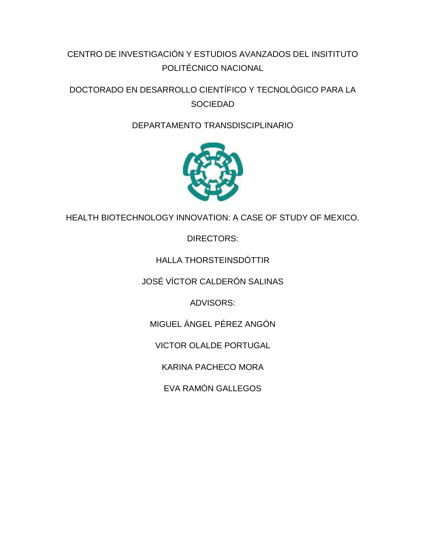# CENTRO DE INVESTIGACIÓN Y ESTUDIOS AVANZADOS DEL INSITITUTO POLITÉCNICO NACIONAL

DOCTORADO EN DESARROLLO CIENTÍFICO Y TECNOLÓGICO PARA LA **SOCIEDAD** 

# DEPARTAMENTO TRANSDISCIPLINARIO



HEALTH BIOTECHNOLOGY INNOVATION: A CASE OF STUDY OF MEXICO.

DIRECTORS:

# HALLA THORSTEINSDÓTTIR

JOSÉ VÍCTOR CALDERÓN SALINAS

ADVISORS:

MIGUEL ÁNGEL PÉREZ ANGÓN

VICTOR OLALDE PORTUGAL

KARINA PACHECO MORA

EVA RAMÓN GALLEGOS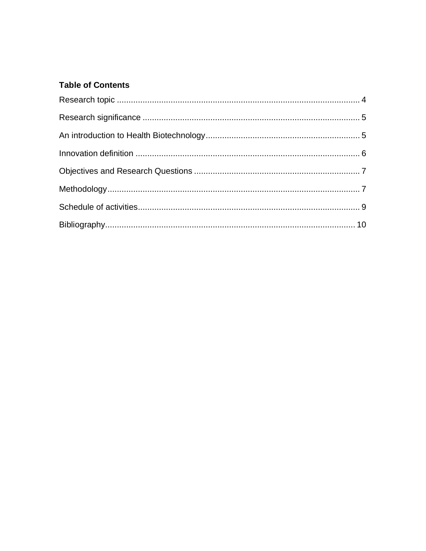## **Table of Contents**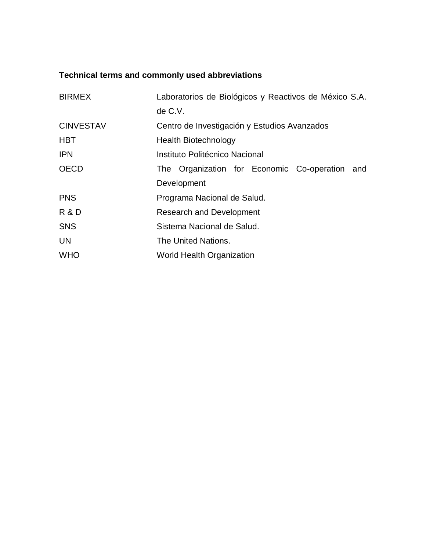# **Technical terms and commonly used abbreviations**

| <b>BIRMEX</b>    | Laboratorios de Biológicos y Reactivos de México S.A. |  |  |  |  |  |  |  |  |  |  |  |  |  |
|------------------|-------------------------------------------------------|--|--|--|--|--|--|--|--|--|--|--|--|--|
|                  | de C.V.                                               |  |  |  |  |  |  |  |  |  |  |  |  |  |
| <b>CINVESTAV</b> | Centro de Investigación y Estudios Avanzados          |  |  |  |  |  |  |  |  |  |  |  |  |  |
| <b>HBT</b>       | <b>Health Biotechnology</b>                           |  |  |  |  |  |  |  |  |  |  |  |  |  |
| <b>IPN</b>       | Instituto Politécnico Nacional                        |  |  |  |  |  |  |  |  |  |  |  |  |  |
| <b>OECD</b>      | The Organization for Economic Co-operation and        |  |  |  |  |  |  |  |  |  |  |  |  |  |
|                  | Development                                           |  |  |  |  |  |  |  |  |  |  |  |  |  |
| <b>PNS</b>       | Programa Nacional de Salud.                           |  |  |  |  |  |  |  |  |  |  |  |  |  |
| <b>R &amp; D</b> | <b>Research and Development</b>                       |  |  |  |  |  |  |  |  |  |  |  |  |  |
| <b>SNS</b>       | Sistema Nacional de Salud.                            |  |  |  |  |  |  |  |  |  |  |  |  |  |
| <b>UN</b>        | The United Nations.                                   |  |  |  |  |  |  |  |  |  |  |  |  |  |
| <b>WHO</b>       | World Health Organization                             |  |  |  |  |  |  |  |  |  |  |  |  |  |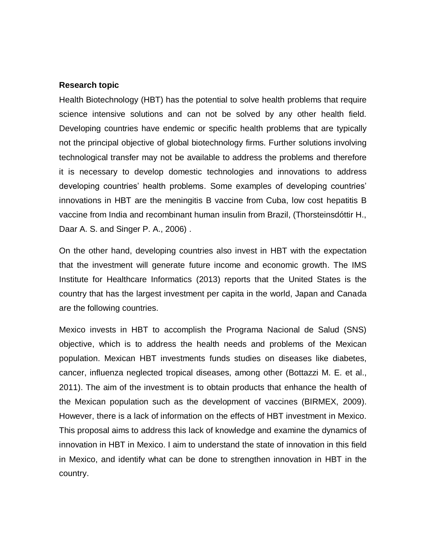#### <span id="page-3-0"></span>**Research topic**

Health Biotechnology (HBT) has the potential to solve health problems that require science intensive solutions and can not be solved by any other health field. Developing countries have endemic or specific health problems that are typically not the principal objective of global biotechnology firms. Further solutions involving technological transfer may not be available to address the problems and therefore it is necessary to develop domestic technologies and innovations to address developing countries' health problems. Some examples of developing countries' innovations in HBT are the meningitis B vaccine from Cuba, low cost hepatitis B vaccine from India and recombinant human insulin from Brazil, (Thorsteinsdóttir H., Daar A. S. and Singer P. A., 2006) .

On the other hand, developing countries also invest in HBT with the expectation that the investment will generate future income and economic growth. The IMS Institute for Healthcare Informatics (2013) reports that the United States is the country that has the largest investment per capita in the world, Japan and Canada are the following countries.

Mexico invests in HBT to accomplish the Programa Nacional de Salud (SNS) objective, which is to address the health needs and problems of the Mexican population. Mexican HBT investments funds studies on diseases like diabetes, cancer, influenza neglected tropical diseases, among other (Bottazzi M. E. et al., 2011). The aim of the investment is to obtain products that enhance the health of the Mexican population such as the development of vaccines (BIRMEX, 2009). However, there is a lack of information on the effects of HBT investment in Mexico. This proposal aims to address this lack of knowledge and examine the dynamics of innovation in HBT in Mexico. I aim to understand the state of innovation in this field in Mexico, and identify what can be done to strengthen innovation in HBT in the country.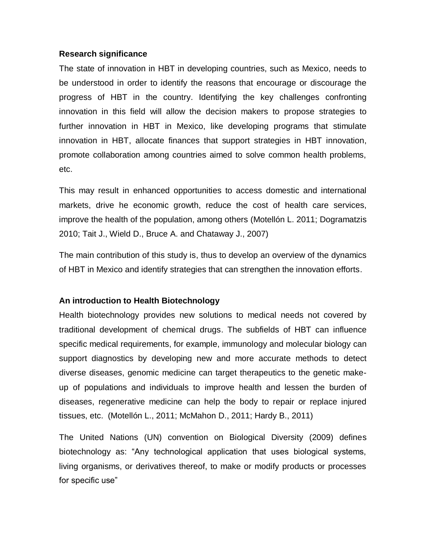#### <span id="page-4-0"></span>**Research significance**

The state of innovation in HBT in developing countries, such as Mexico, needs to be understood in order to identify the reasons that encourage or discourage the progress of HBT in the country. Identifying the key challenges confronting innovation in this field will allow the decision makers to propose strategies to further innovation in HBT in Mexico, like developing programs that stimulate innovation in HBT, allocate finances that support strategies in HBT innovation, promote collaboration among countries aimed to solve common health problems, etc.

This may result in enhanced opportunities to access domestic and international markets, drive he economic growth, reduce the cost of health care services, improve the health of the population, among others (Motellón L. 2011; Dogramatzis 2010; Tait J., Wield D., Bruce A. and Chataway J., 2007)

The main contribution of this study is, thus to develop an overview of the dynamics of HBT in Mexico and identify strategies that can strengthen the innovation efforts.

### <span id="page-4-1"></span>**An introduction to Health Biotechnology**

Health biotechnology provides new solutions to medical needs not covered by traditional development of chemical drugs. The subfields of HBT can influence specific medical requirements, for example, immunology and molecular biology can support diagnostics by developing new and more accurate methods to detect diverse diseases, genomic medicine can target therapeutics to the genetic makeup of populations and individuals to improve health and lessen the burden of diseases, regenerative medicine can help the body to repair or replace injured tissues, etc. (Motellón L., 2011; McMahon D., 2011; Hardy B., 2011)

The United Nations (UN) convention on Biological Diversity (2009) defines biotechnology as: "Any technological application that uses biological systems, living organisms, or derivatives thereof, to make or modify products or processes for specific use"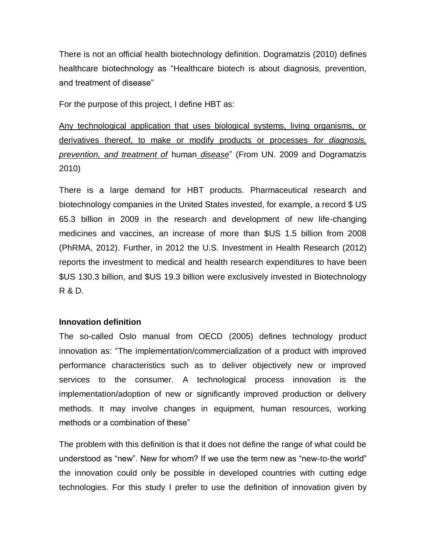There is not an official health biotechnology definition. Dogramatzis (2010) defines healthcare biotechnology as "Healthcare biotech is about diagnosis, prevention, and treatment of disease"

For the purpose of this project, I define HBT as:

Any technological application that uses biological systems, living organisms, or derivatives thereof, to make or modify products or processes *for diagnosis, prevention, and treatment of* human *disease*" (From UN. 2009 and Dogramatzis 2010)

There is a large demand for HBT products. Pharmaceutical research and biotechnology companies in the United States invested, for example, a record \$ US 65.3 billion in 2009 in the research and development of new life-changing medicines and vaccines, an increase of more than \$US 1.5 billion from 2008 (PhRMA, 2012). Further, in 2012 the U.S. Investment in Health Research (2012) reports the investment to medical and health research expenditures to have been \$US 130.3 billion, and \$US 19.3 billion were exclusively invested in Biotechnology R & D.

#### <span id="page-5-0"></span>**Innovation definition**

The so-called Oslo manual from OECD (2005) defines technology product innovation as: "The implementation/commercialization of a product with improved performance characteristics such as to deliver objectively new or improved services to the consumer. A technological process innovation is the implementation/adoption of new or significantly improved production or delivery methods. It may involve changes in equipment, human resources, working methods or a combination of these"

The problem with this definition is that it does not define the range of what could be understood as "new". New for whom? If we use the term new as "new-to-the world" the innovation could only be possible in developed countries with cutting edge technologies. For this study I prefer to use the definition of innovation given by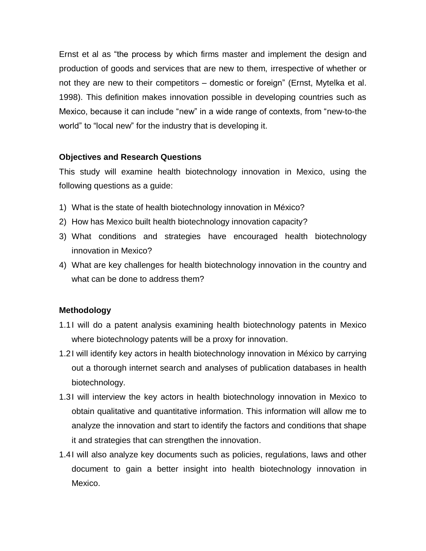Ernst et al as "the process by which firms master and implement the design and production of goods and services that are new to them, irrespective of whether or not they are new to their competitors – domestic or foreign" (Ernst, Mytelka et al. 1998). This definition makes innovation possible in developing countries such as Mexico, because it can include "new" in a wide range of contexts, from "new-to-the world" to "local new" for the industry that is developing it.

## <span id="page-6-0"></span>**Objectives and Research Questions**

This study will examine health biotechnology innovation in Mexico, using the following questions as a guide:

- 1) What is the state of health biotechnology innovation in México?
- 2) How has Mexico built health biotechnology innovation capacity?
- 3) What conditions and strategies have encouraged health biotechnology innovation in Mexico?
- 4) What are key challenges for health biotechnology innovation in the country and what can be done to address them?

### <span id="page-6-1"></span>**Methodology**

- 1.1I will do a patent analysis examining health biotechnology patents in Mexico where biotechnology patents will be a proxy for innovation.
- 1.2I will identify key actors in health biotechnology innovation in México by carrying out a thorough internet search and analyses of publication databases in health biotechnology.
- 1.3I will interview the key actors in health biotechnology innovation in Mexico to obtain qualitative and quantitative information. This information will allow me to analyze the innovation and start to identify the factors and conditions that shape it and strategies that can strengthen the innovation.
- 1.4I will also analyze key documents such as policies, regulations, laws and other document to gain a better insight into health biotechnology innovation in Mexico.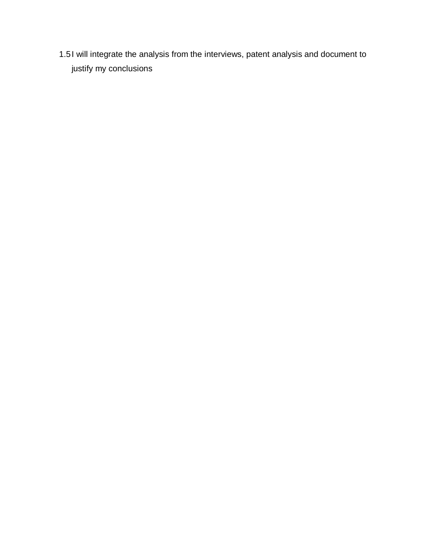1.5I will integrate the analysis from the interviews, patent analysis and document to justify my conclusions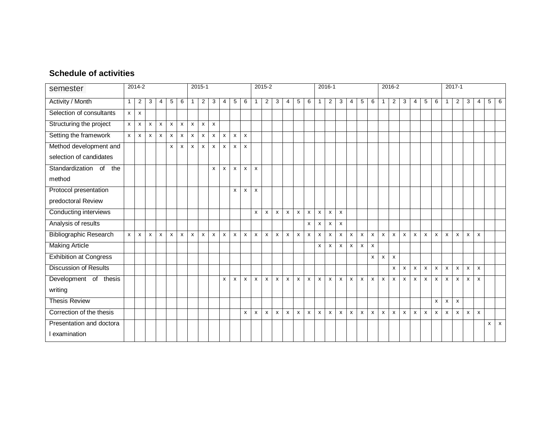## **Schedule of activities**

<span id="page-8-0"></span>

| semester                      | 2014-2       |                    |              |                           |                           |                    | 2015-1       |                |              |                |              |              |                    | 2015-2         |              |                    |                 |              |                           |                | 2016-1             |              |                           |              |              |                |                | 2016-2         |                           |                           |              |                |              | 2017-1                    |              |              |  |  |  |  |
|-------------------------------|--------------|--------------------|--------------|---------------------------|---------------------------|--------------------|--------------|----------------|--------------|----------------|--------------|--------------|--------------------|----------------|--------------|--------------------|-----------------|--------------|---------------------------|----------------|--------------------|--------------|---------------------------|--------------|--------------|----------------|----------------|----------------|---------------------------|---------------------------|--------------|----------------|--------------|---------------------------|--------------|--------------|--|--|--|--|
| <b>Activity / Month</b>       | $\mathbf{1}$ | $\overline{c}$     | 3            | 4                         | $\sqrt{5}$                | 6                  | $\mathbf{1}$ | $\overline{2}$ | 3            | $\overline{4}$ | $\sqrt{5}$   | 6            | $\mathbf{1}$       | 2 <sup>1</sup> | $\mathbf{3}$ | $\overline{4}$     | $5\phantom{.0}$ | 6            | 1                         | $\overline{c}$ | $\mathbf{3}$       | 4            | $\sqrt{5}$                | 6            | $\mathbf{1}$ | $\overline{2}$ | 3              | $\overline{4}$ | $\sqrt{5}$                | 6                         | $\mathbf{1}$ | $\overline{2}$ | 3            | 4                         |              | $5 \quad 6$  |  |  |  |  |
| Selection of consultants      | $\mathsf{x}$ | $\pmb{\mathsf{x}}$ |              |                           |                           |                    |              |                |              |                |              |              |                    |                |              |                    |                 |              |                           |                |                    |              |                           |              |              |                |                |                |                           |                           |              |                |              |                           |              |              |  |  |  |  |
| Structuring the project       | $\mathsf{x}$ | x                  | X            | $\mathsf{x}$              | X                         | $\mathsf{x}$       | $\mathsf{x}$ | $\mathsf{x}$   | $\mathsf{x}$ |                |              |              |                    |                |              |                    |                 |              |                           |                |                    |              |                           |              |              |                |                |                |                           |                           |              |                |              |                           |              |              |  |  |  |  |
| Setting the framework         | $\mathsf{x}$ | X                  | X            | $\boldsymbol{\mathsf{x}}$ | X                         | $\pmb{\mathsf{x}}$ | X            | X              | X            | x              | X            | $\pmb{\chi}$ |                    |                |              |                    |                 |              |                           |                |                    |              |                           |              |              |                |                |                |                           |                           |              |                |              |                           |              |              |  |  |  |  |
| Method development and        |              |                    |              |                           | X                         | X                  | $\mathsf{x}$ | X              | X            | X              | X            | X            |                    |                |              |                    |                 |              |                           |                |                    |              |                           |              |              |                |                |                |                           |                           |              |                |              |                           |              |              |  |  |  |  |
| selection of candidates       |              |                    |              |                           |                           |                    |              |                |              |                |              |              |                    |                |              |                    |                 |              |                           |                |                    |              |                           |              |              |                |                |                |                           |                           |              |                |              |                           |              |              |  |  |  |  |
| Standardization of<br>the     |              |                    |              |                           |                           |                    |              |                | X            | X              | $\mathsf{x}$ | X            | $\mathsf{x}$       |                |              |                    |                 |              |                           |                |                    |              |                           |              |              |                |                |                |                           |                           |              |                |              |                           |              |              |  |  |  |  |
| method                        |              |                    |              |                           |                           |                    |              |                |              |                |              |              |                    |                |              |                    |                 |              |                           |                |                    |              |                           |              |              |                |                |                |                           |                           |              |                |              |                           |              |              |  |  |  |  |
| Protocol presentation         |              |                    |              |                           |                           |                    |              |                |              |                | X            | X            | $\pmb{\mathsf{x}}$ |                |              |                    |                 |              |                           |                |                    |              |                           |              |              |                |                |                |                           |                           |              |                |              |                           |              |              |  |  |  |  |
| predoctoral Review            |              |                    |              |                           |                           |                    |              |                |              |                |              |              |                    |                |              |                    |                 |              |                           |                |                    |              |                           |              |              |                |                |                |                           |                           |              |                |              |                           |              |              |  |  |  |  |
| Conducting interviews         |              |                    |              |                           |                           |                    |              |                |              |                |              |              | $\pmb{\mathsf{x}}$ | X              | $\mathsf{x}$ | $\pmb{\mathsf{x}}$ | $\mathsf{x}$    | X            | X                         | $\pmb{\chi}$   | $\pmb{\mathsf{X}}$ |              |                           |              |              |                |                |                |                           |                           |              |                |              |                           |              |              |  |  |  |  |
| Analysis of results           |              |                    |              |                           |                           |                    |              |                |              |                |              |              |                    |                |              |                    |                 | $\mathsf{x}$ | X                         | X              | $\pmb{\mathsf{x}}$ |              |                           |              |              |                |                |                |                           |                           |              |                |              |                           |              |              |  |  |  |  |
| <b>Bibliographic Research</b> | $\mathsf{x}$ | $\mathsf{x}$       | $\mathsf{x}$ | $\mathsf{x}$              | $\boldsymbol{\mathsf{x}}$ | $\mathsf{x}$       | $\mathsf{x}$ | $\mathsf{x}$   | $\mathsf{x}$ | $\mathsf{x}$   | $\mathsf{x}$ | $\pmb{\chi}$ | $\mathsf{x}$       | $\mathsf{x}$   | $\mathsf{x}$ | $\pmb{\mathsf{x}}$ | $\mathsf{x}$    | $\mathsf{x}$ | $\boldsymbol{\mathsf{X}}$ | $\pmb{\chi}$   | $\pmb{\mathsf{X}}$ | $\mathsf{x}$ | $\mathsf{x}$              | $\mathsf{x}$ | $\pmb{\chi}$ | $\mathsf{x}$   | $\mathsf{x}$   | $\mathsf{x}$   | $\mathsf{x}$              | $\pmb{\chi}$              | $\mathsf{x}$ | $\mathsf{x}$   | $\mathsf{x}$ | $\mathsf{x}$              |              |              |  |  |  |  |
| <b>Making Article</b>         |              |                    |              |                           |                           |                    |              |                |              |                |              |              |                    |                |              |                    |                 |              | $\mathsf{x}$              | $\mathsf{x}$   | X                  | $\mathsf{x}$ | $\boldsymbol{\mathsf{x}}$ | X            |              |                |                |                |                           |                           |              |                |              |                           |              |              |  |  |  |  |
| <b>Exhibition at Congress</b> |              |                    |              |                           |                           |                    |              |                |              |                |              |              |                    |                |              |                    |                 |              |                           |                |                    |              |                           | X            | X            | X              |                |                |                           |                           |              |                |              |                           |              |              |  |  |  |  |
| <b>Discussion of Results</b>  |              |                    |              |                           |                           |                    |              |                |              |                |              |              |                    |                |              |                    |                 |              |                           |                |                    |              |                           |              |              | X              | $\mathsf{x}$   | $\mathsf{x}$   | $\boldsymbol{\mathsf{x}}$ | $\pmb{\chi}$              | $\mathsf{x}$ | $\mathsf{x}$   | $\mathsf{x}$ | $\mathsf{x}$              |              |              |  |  |  |  |
| Development of thesis         |              |                    |              |                           |                           |                    |              |                |              | x              | x            | X            | X                  | X              | $\mathsf{x}$ | X                  | X               | $\pmb{\chi}$ | X                         | X              | $\mathsf{x}$       | X            | $\boldsymbol{\mathsf{x}}$ | X            | X            | X              | $\mathsf{x}$   | $\mathsf{x}$   | X                         | $\boldsymbol{\mathsf{x}}$ | $\pmb{\chi}$ | X              | x            | $\mathsf{x}$              |              |              |  |  |  |  |
| writing                       |              |                    |              |                           |                           |                    |              |                |              |                |              |              |                    |                |              |                    |                 |              |                           |                |                    |              |                           |              |              |                |                |                |                           |                           |              |                |              |                           |              |              |  |  |  |  |
| <b>Thesis Review</b>          |              |                    |              |                           |                           |                    |              |                |              |                |              |              |                    |                |              |                    |                 |              |                           |                |                    |              |                           |              |              |                |                |                |                           | X                         | $\pmb{\chi}$ | $\mathsf{x}$   |              |                           |              |              |  |  |  |  |
| Correction of the thesis      |              |                    |              |                           |                           |                    |              |                |              |                |              | x            | X                  | X              | $\mathsf{x}$ | X                  | x               | $\pmb{\chi}$ | X                         | X              | X                  | $\mathsf{x}$ | X                         | x            | X            | X              | $\pmb{\times}$ | $\mathsf{x}$   | X                         | X                         | $\pmb{\chi}$ | $\mathsf{x}$   | X            | $\boldsymbol{\mathsf{x}}$ |              |              |  |  |  |  |
| Presentation and doctora      |              |                    |              |                           |                           |                    |              |                |              |                |              |              |                    |                |              |                    |                 |              |                           |                |                    |              |                           |              |              |                |                |                |                           |                           |              |                |              |                           | $\mathsf{x}$ | $\mathsf{x}$ |  |  |  |  |
| I examination                 |              |                    |              |                           |                           |                    |              |                |              |                |              |              |                    |                |              |                    |                 |              |                           |                |                    |              |                           |              |              |                |                |                |                           |                           |              |                |              |                           |              |              |  |  |  |  |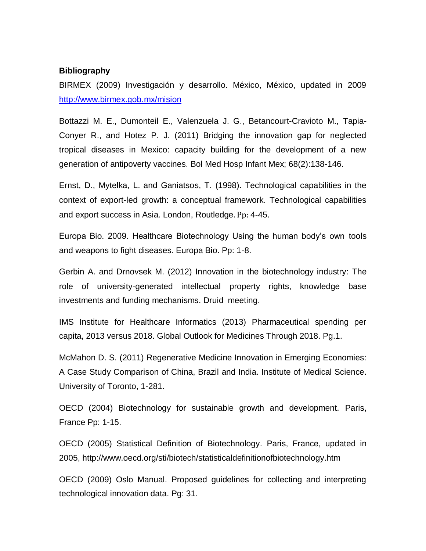#### <span id="page-9-0"></span>**Bibliography**

BIRMEX (2009) Investigación y desarrollo. México, México, updated in 2009 <http://www.birmex.gob.mx/mision>

Bottazzi M. E., Dumonteil E., Valenzuela J. G., Betancourt-Cravioto M., Tapia-Conyer R., and Hotez P. J. (2011) Bridging the innovation gap for neglected tropical diseases in Mexico: capacity building for the development of a new generation of antipoverty vaccines. Bol Med Hosp Infant Mex; 68(2):138-146.

Ernst, D., Mytelka, L. and Ganiatsos, T. (1998). Technological capabilities in the context of export-led growth: a conceptual framework. Technological capabilities and export success in Asia. London, Routledge. Pp: 4-45.

Europa Bio. 2009. Healthcare Biotechnology Using the human body's own tools and weapons to fight diseases. Europa Bio. Pp: 1-8.

Gerbin A. and Drnovsek M. (2012) Innovation in the biotechnology industry: The role of university-generated intellectual property rights, knowledge base investments and funding mechanisms. Druid meeting.

IMS Institute for Healthcare Informatics (2013) Pharmaceutical spending per capita, 2013 versus 2018. Global Outlook for Medicines Through 2018. Pg.1.

McMahon D. S. (2011) Regenerative Medicine Innovation in Emerging Economies: A Case Study Comparison of China, Brazil and India. Institute of Medical Science. University of Toronto, 1-281.

OECD (2004) Biotechnology for sustainable growth and development. Paris, France Pp: 1-15.

OECD (2005) Statistical Definition of Biotechnology. Paris, France, updated in 2005, http://www.oecd.org/sti/biotech/statisticaldefinitionofbiotechnology.htm

OECD (2009) Oslo Manual. Proposed guidelines for collecting and interpreting technological innovation data. Pg: 31.